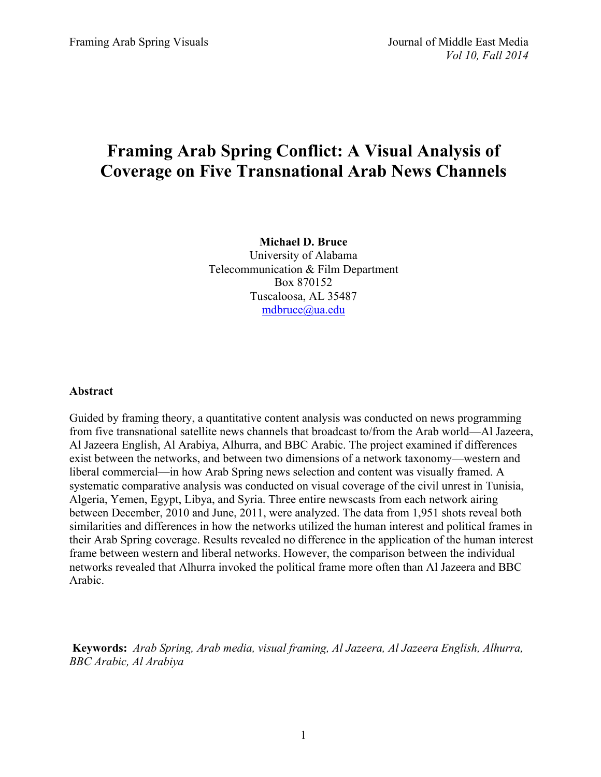# **Framing Arab Spring Conflict: A Visual Analysis of Coverage on Five Transnational Arab News Channels**

**Michael D. Bruce** University of Alabama Telecommunication & Film Department Box 870152 Tuscaloosa, AL 35487 mdbruce@ua.edu

# **Abstract**

Guided by framing theory, a quantitative content analysis was conducted on news programming from five transnational satellite news channels that broadcast to/from the Arab world—Al Jazeera, Al Jazeera English, Al Arabiya, Alhurra, and BBC Arabic. The project examined if differences exist between the networks, and between two dimensions of a network taxonomy—western and liberal commercial—in how Arab Spring news selection and content was visually framed. A systematic comparative analysis was conducted on visual coverage of the civil unrest in Tunisia, Algeria, Yemen, Egypt, Libya, and Syria. Three entire newscasts from each network airing between December, 2010 and June, 2011, were analyzed. The data from 1,951 shots reveal both similarities and differences in how the networks utilized the human interest and political frames in their Arab Spring coverage. Results revealed no difference in the application of the human interest frame between western and liberal networks. However, the comparison between the individual networks revealed that Alhurra invoked the political frame more often than Al Jazeera and BBC Arabic.

**Keywords:** *Arab Spring, Arab media, visual framing, Al Jazeera, Al Jazeera English, Alhurra, BBC Arabic, Al Arabiya*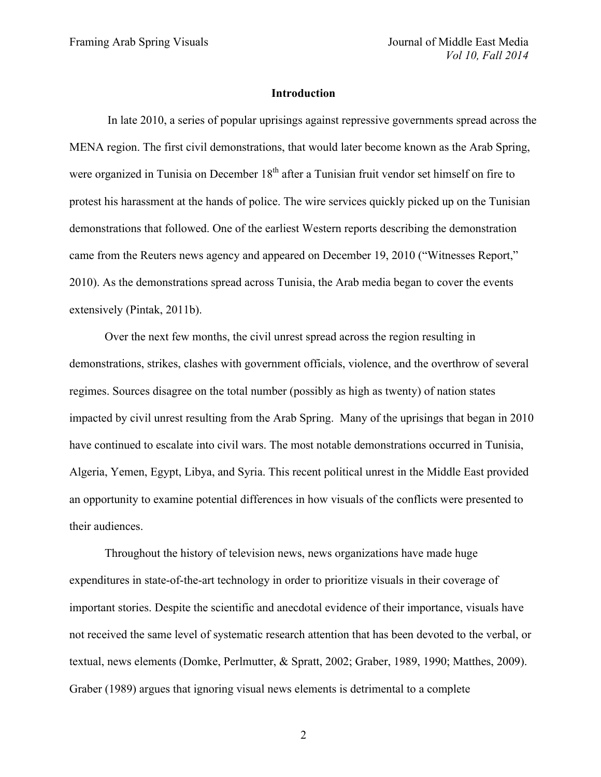#### **Introduction**

In late 2010, a series of popular uprisings against repressive governments spread across the MENA region. The first civil demonstrations, that would later become known as the Arab Spring, were organized in Tunisia on December 18<sup>th</sup> after a Tunisian fruit vendor set himself on fire to protest his harassment at the hands of police. The wire services quickly picked up on the Tunisian demonstrations that followed. One of the earliest Western reports describing the demonstration came from the Reuters news agency and appeared on December 19, 2010 ("Witnesses Report," 2010). As the demonstrations spread across Tunisia, the Arab media began to cover the events extensively (Pintak, 2011b).

Over the next few months, the civil unrest spread across the region resulting in demonstrations, strikes, clashes with government officials, violence, and the overthrow of several regimes. Sources disagree on the total number (possibly as high as twenty) of nation states impacted by civil unrest resulting from the Arab Spring. Many of the uprisings that began in 2010 have continued to escalate into civil wars. The most notable demonstrations occurred in Tunisia, Algeria, Yemen, Egypt, Libya, and Syria. This recent political unrest in the Middle East provided an opportunity to examine potential differences in how visuals of the conflicts were presented to their audiences.

Throughout the history of television news, news organizations have made huge expenditures in state-of-the-art technology in order to prioritize visuals in their coverage of important stories. Despite the scientific and anecdotal evidence of their importance, visuals have not received the same level of systematic research attention that has been devoted to the verbal, or textual, news elements (Domke, Perlmutter, & Spratt, 2002; Graber, 1989, 1990; Matthes, 2009). Graber (1989) argues that ignoring visual news elements is detrimental to a complete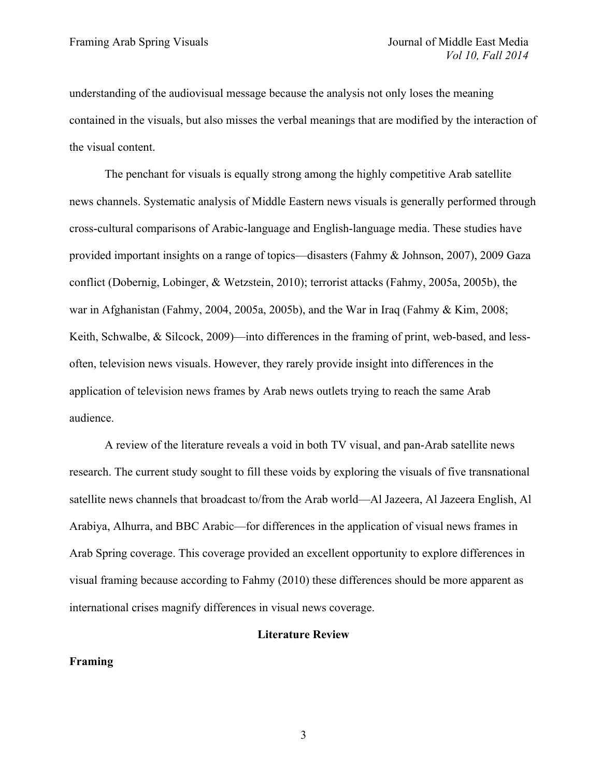understanding of the audiovisual message because the analysis not only loses the meaning contained in the visuals, but also misses the verbal meanings that are modified by the interaction of the visual content.

The penchant for visuals is equally strong among the highly competitive Arab satellite news channels. Systematic analysis of Middle Eastern news visuals is generally performed through cross-cultural comparisons of Arabic-language and English-language media. These studies have provided important insights on a range of topics—disasters (Fahmy & Johnson, 2007), 2009 Gaza conflict (Dobernig, Lobinger, & Wetzstein, 2010); terrorist attacks (Fahmy, 2005a, 2005b), the war in Afghanistan (Fahmy, 2004, 2005a, 2005b), and the War in Iraq (Fahmy & Kim, 2008; Keith, Schwalbe, & Silcock, 2009)—into differences in the framing of print, web-based, and lessoften, television news visuals. However, they rarely provide insight into differences in the application of television news frames by Arab news outlets trying to reach the same Arab audience.

A review of the literature reveals a void in both TV visual, and pan-Arab satellite news research. The current study sought to fill these voids by exploring the visuals of five transnational satellite news channels that broadcast to/from the Arab world—Al Jazeera, Al Jazeera English, Al Arabiya, Alhurra, and BBC Arabic—for differences in the application of visual news frames in Arab Spring coverage. This coverage provided an excellent opportunity to explore differences in visual framing because according to Fahmy (2010) these differences should be more apparent as international crises magnify differences in visual news coverage.

#### **Literature Review**

## **Framing**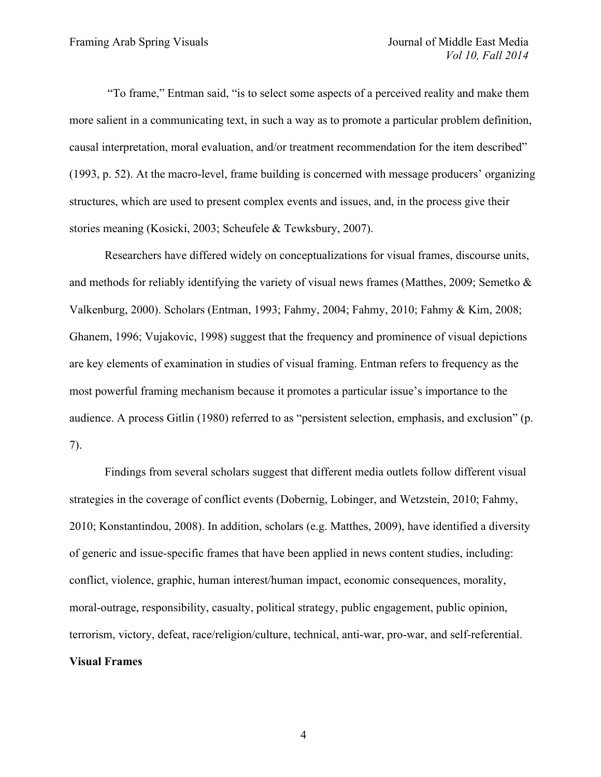"To frame," Entman said, "is to select some aspects of a perceived reality and make them more salient in a communicating text, in such a way as to promote a particular problem definition, causal interpretation, moral evaluation, and/or treatment recommendation for the item described" (1993, p. 52). At the macro-level, frame building is concerned with message producers' organizing structures, which are used to present complex events and issues, and, in the process give their stories meaning (Kosicki, 2003; Scheufele & Tewksbury, 2007).

Researchers have differed widely on conceptualizations for visual frames, discourse units, and methods for reliably identifying the variety of visual news frames (Matthes, 2009; Semetko  $\&$ Valkenburg, 2000). Scholars (Entman, 1993; Fahmy, 2004; Fahmy, 2010; Fahmy & Kim, 2008; Ghanem, 1996; Vujakovic, 1998) suggest that the frequency and prominence of visual depictions are key elements of examination in studies of visual framing. Entman refers to frequency as the most powerful framing mechanism because it promotes a particular issue's importance to the audience. A process Gitlin (1980) referred to as "persistent selection, emphasis, and exclusion" (p. 7).

Findings from several scholars suggest that different media outlets follow different visual strategies in the coverage of conflict events (Dobernig, Lobinger, and Wetzstein, 2010; Fahmy, 2010; Konstantindou, 2008). In addition, scholars (e.g. Matthes, 2009), have identified a diversity of generic and issue-specific frames that have been applied in news content studies, including: conflict, violence, graphic, human interest/human impact, economic consequences, morality, moral-outrage, responsibility, casualty, political strategy, public engagement, public opinion, terrorism, victory, defeat, race/religion/culture, technical, anti-war, pro-war, and self-referential. **Visual Frames**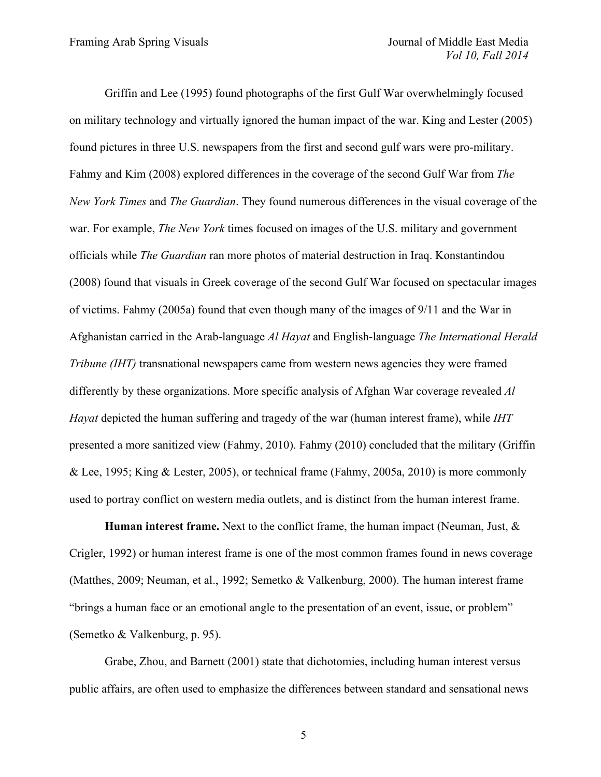Griffin and Lee (1995) found photographs of the first Gulf War overwhelmingly focused on military technology and virtually ignored the human impact of the war. King and Lester (2005) found pictures in three U.S. newspapers from the first and second gulf wars were pro-military. Fahmy and Kim (2008) explored differences in the coverage of the second Gulf War from *The New York Times* and *The Guardian*. They found numerous differences in the visual coverage of the war. For example, *The New York* times focused on images of the U.S. military and government officials while *The Guardian* ran more photos of material destruction in Iraq. Konstantindou (2008) found that visuals in Greek coverage of the second Gulf War focused on spectacular images of victims. Fahmy (2005a) found that even though many of the images of 9/11 and the War in Afghanistan carried in the Arab-language *Al Hayat* and English-language *The International Herald Tribune (IHT)* transnational newspapers came from western news agencies they were framed differently by these organizations. More specific analysis of Afghan War coverage revealed *Al Hayat* depicted the human suffering and tragedy of the war (human interest frame), while *IHT* presented a more sanitized view (Fahmy, 2010). Fahmy (2010) concluded that the military (Griffin & Lee, 1995; King & Lester, 2005), or technical frame (Fahmy, 2005a, 2010) is more commonly used to portray conflict on western media outlets, and is distinct from the human interest frame.

**Human interest frame.** Next to the conflict frame, the human impact (Neuman, Just, & Crigler, 1992) or human interest frame is one of the most common frames found in news coverage (Matthes, 2009; Neuman, et al., 1992; Semetko & Valkenburg, 2000). The human interest frame "brings a human face or an emotional angle to the presentation of an event, issue, or problem" (Semetko & Valkenburg, p. 95).

Grabe, Zhou, and Barnett (2001) state that dichotomies, including human interest versus public affairs, are often used to emphasize the differences between standard and sensational news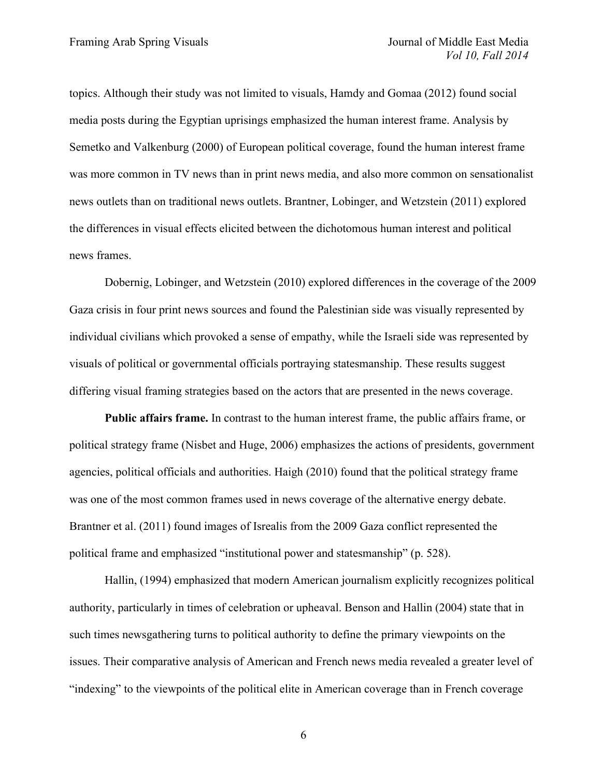topics. Although their study was not limited to visuals, Hamdy and Gomaa (2012) found social media posts during the Egyptian uprisings emphasized the human interest frame. Analysis by Semetko and Valkenburg (2000) of European political coverage, found the human interest frame was more common in TV news than in print news media, and also more common on sensationalist news outlets than on traditional news outlets. Brantner, Lobinger, and Wetzstein (2011) explored the differences in visual effects elicited between the dichotomous human interest and political news frames.

Dobernig, Lobinger, and Wetzstein (2010) explored differences in the coverage of the 2009 Gaza crisis in four print news sources and found the Palestinian side was visually represented by individual civilians which provoked a sense of empathy, while the Israeli side was represented by visuals of political or governmental officials portraying statesmanship. These results suggest differing visual framing strategies based on the actors that are presented in the news coverage.

**Public affairs frame.** In contrast to the human interest frame, the public affairs frame, or political strategy frame (Nisbet and Huge, 2006) emphasizes the actions of presidents, government agencies, political officials and authorities. Haigh (2010) found that the political strategy frame was one of the most common frames used in news coverage of the alternative energy debate. Brantner et al. (2011) found images of Isrealis from the 2009 Gaza conflict represented the political frame and emphasized "institutional power and statesmanship" (p. 528).

Hallin, (1994) emphasized that modern American journalism explicitly recognizes political authority, particularly in times of celebration or upheaval. Benson and Hallin (2004) state that in such times newsgathering turns to political authority to define the primary viewpoints on the issues. Their comparative analysis of American and French news media revealed a greater level of "indexing" to the viewpoints of the political elite in American coverage than in French coverage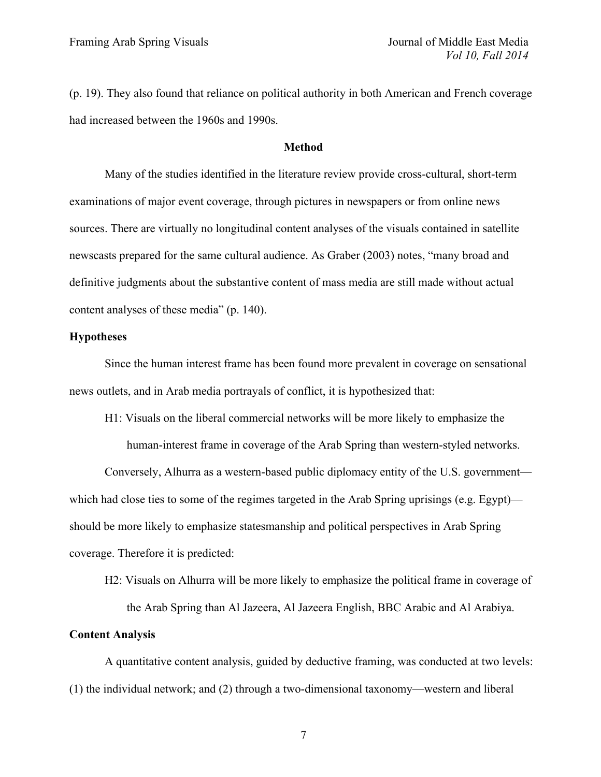(p. 19). They also found that reliance on political authority in both American and French coverage had increased between the 1960s and 1990s.

## **Method**

Many of the studies identified in the literature review provide cross-cultural, short-term examinations of major event coverage, through pictures in newspapers or from online news sources. There are virtually no longitudinal content analyses of the visuals contained in satellite newscasts prepared for the same cultural audience. As Graber (2003) notes, "many broad and definitive judgments about the substantive content of mass media are still made without actual content analyses of these media" (p. 140).

## **Hypotheses**

Since the human interest frame has been found more prevalent in coverage on sensational news outlets, and in Arab media portrayals of conflict, it is hypothesized that:

H1: Visuals on the liberal commercial networks will be more likely to emphasize the

human-interest frame in coverage of the Arab Spring than western-styled networks.

Conversely, Alhurra as a western-based public diplomacy entity of the U.S. government which had close ties to some of the regimes targeted in the Arab Spring uprisings (e.g. Egypt) should be more likely to emphasize statesmanship and political perspectives in Arab Spring coverage. Therefore it is predicted:

H2: Visuals on Alhurra will be more likely to emphasize the political frame in coverage of

the Arab Spring than Al Jazeera, Al Jazeera English, BBC Arabic and Al Arabiya.

# **Content Analysis**

A quantitative content analysis, guided by deductive framing, was conducted at two levels: (1) the individual network; and (2) through a two-dimensional taxonomy—western and liberal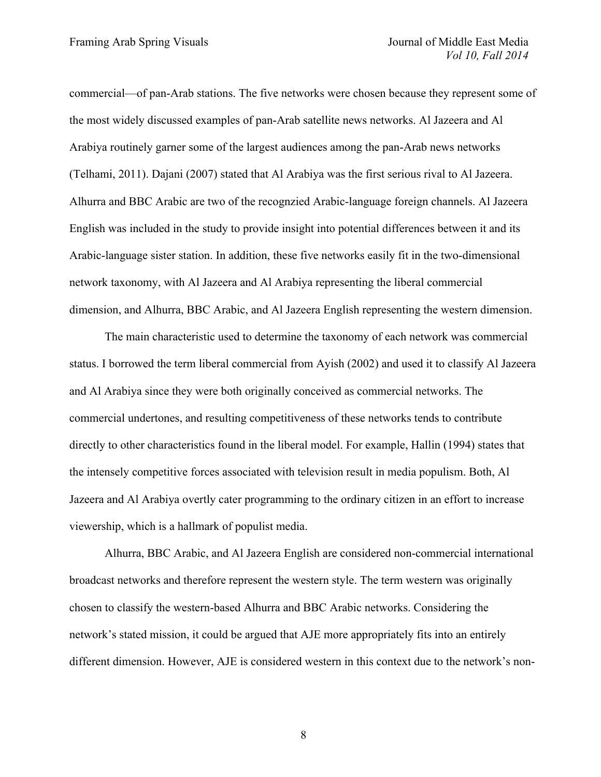commercial—of pan-Arab stations. The five networks were chosen because they represent some of the most widely discussed examples of pan-Arab satellite news networks. Al Jazeera and Al Arabiya routinely garner some of the largest audiences among the pan-Arab news networks (Telhami, 2011). Dajani (2007) stated that Al Arabiya was the first serious rival to Al Jazeera. Alhurra and BBC Arabic are two of the recognzied Arabic-language foreign channels. Al Jazeera English was included in the study to provide insight into potential differences between it and its Arabic-language sister station. In addition, these five networks easily fit in the two-dimensional network taxonomy, with Al Jazeera and Al Arabiya representing the liberal commercial dimension, and Alhurra, BBC Arabic, and Al Jazeera English representing the western dimension.

The main characteristic used to determine the taxonomy of each network was commercial status. I borrowed the term liberal commercial from Ayish (2002) and used it to classify Al Jazeera and Al Arabiya since they were both originally conceived as commercial networks. The commercial undertones, and resulting competitiveness of these networks tends to contribute directly to other characteristics found in the liberal model. For example, Hallin (1994) states that the intensely competitive forces associated with television result in media populism. Both, Al Jazeera and Al Arabiya overtly cater programming to the ordinary citizen in an effort to increase viewership, which is a hallmark of populist media.

Alhurra, BBC Arabic, and Al Jazeera English are considered non-commercial international broadcast networks and therefore represent the western style. The term western was originally chosen to classify the western-based Alhurra and BBC Arabic networks. Considering the network's stated mission, it could be argued that AJE more appropriately fits into an entirely different dimension. However, AJE is considered western in this context due to the network's non-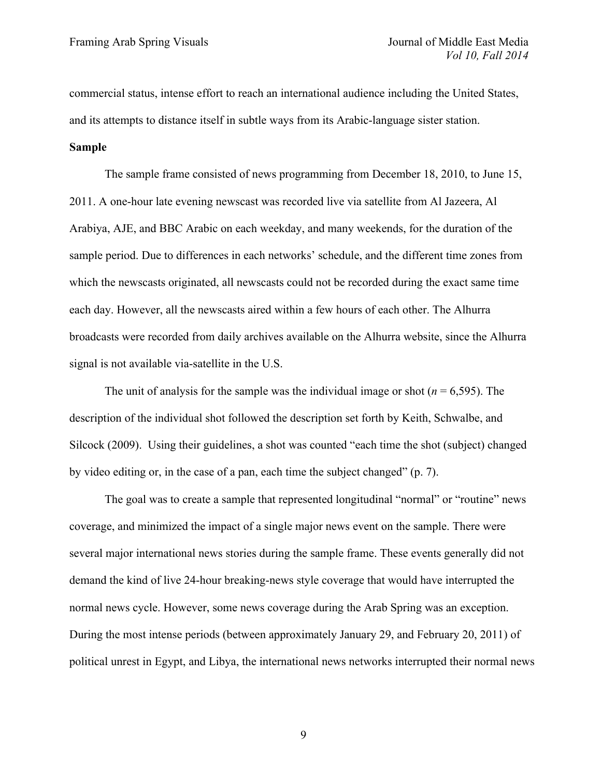commercial status, intense effort to reach an international audience including the United States, and its attempts to distance itself in subtle ways from its Arabic-language sister station.

# **Sample**

The sample frame consisted of news programming from December 18, 2010, to June 15, 2011. A one-hour late evening newscast was recorded live via satellite from Al Jazeera, Al Arabiya, AJE, and BBC Arabic on each weekday, and many weekends, for the duration of the sample period. Due to differences in each networks' schedule, and the different time zones from which the newscasts originated, all newscasts could not be recorded during the exact same time each day. However, all the newscasts aired within a few hours of each other. The Alhurra broadcasts were recorded from daily archives available on the Alhurra website, since the Alhurra signal is not available via-satellite in the U.S.

The unit of analysis for the sample was the individual image or shot  $(n = 6.595)$ . The description of the individual shot followed the description set forth by Keith, Schwalbe, and Silcock (2009). Using their guidelines, a shot was counted "each time the shot (subject) changed by video editing or, in the case of a pan, each time the subject changed" (p. 7).

The goal was to create a sample that represented longitudinal "normal" or "routine" news coverage, and minimized the impact of a single major news event on the sample. There were several major international news stories during the sample frame. These events generally did not demand the kind of live 24-hour breaking-news style coverage that would have interrupted the normal news cycle. However, some news coverage during the Arab Spring was an exception. During the most intense periods (between approximately January 29, and February 20, 2011) of political unrest in Egypt, and Libya, the international news networks interrupted their normal news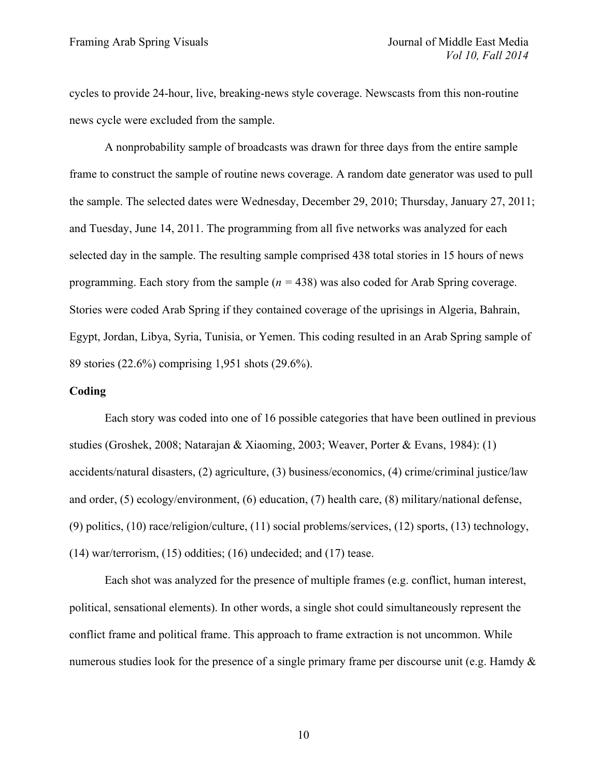cycles to provide 24-hour, live, breaking-news style coverage. Newscasts from this non-routine news cycle were excluded from the sample.

A nonprobability sample of broadcasts was drawn for three days from the entire sample frame to construct the sample of routine news coverage. A random date generator was used to pull the sample. The selected dates were Wednesday, December 29, 2010; Thursday, January 27, 2011; and Tuesday, June 14, 2011. The programming from all five networks was analyzed for each selected day in the sample. The resulting sample comprised 438 total stories in 15 hours of news programming. Each story from the sample (*n =* 438) was also coded for Arab Spring coverage. Stories were coded Arab Spring if they contained coverage of the uprisings in Algeria, Bahrain, Egypt, Jordan, Libya, Syria, Tunisia, or Yemen. This coding resulted in an Arab Spring sample of 89 stories (22.6%) comprising 1,951 shots (29.6%).

# **Coding**

Each story was coded into one of 16 possible categories that have been outlined in previous studies (Groshek, 2008; Natarajan & Xiaoming, 2003; Weaver, Porter & Evans, 1984): (1) accidents/natural disasters, (2) agriculture, (3) business/economics, (4) crime/criminal justice/law and order, (5) ecology/environment, (6) education, (7) health care, (8) military/national defense, (9) politics, (10) race/religion/culture, (11) social problems/services, (12) sports, (13) technology, (14) war/terrorism, (15) oddities; (16) undecided; and (17) tease.

Each shot was analyzed for the presence of multiple frames (e.g. conflict, human interest, political, sensational elements). In other words, a single shot could simultaneously represent the conflict frame and political frame. This approach to frame extraction is not uncommon. While numerous studies look for the presence of a single primary frame per discourse unit (e.g. Hamdy  $\&$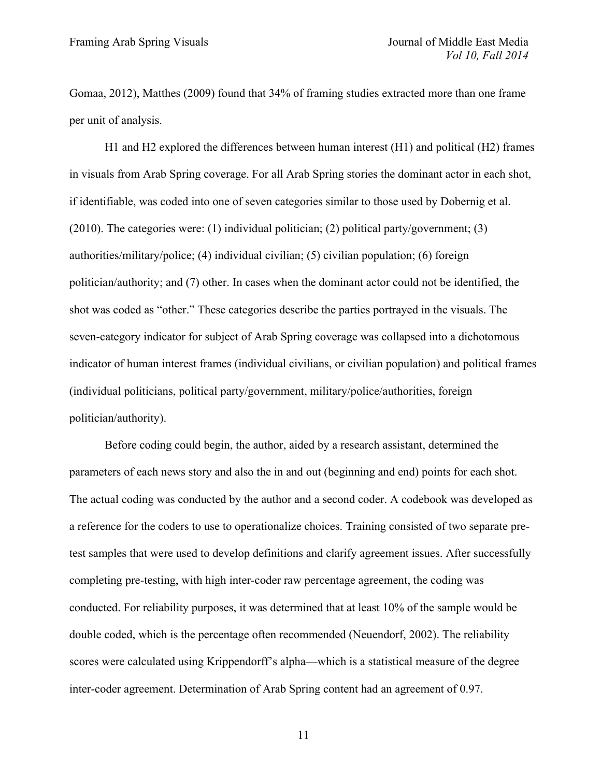Gomaa, 2012), Matthes (2009) found that 34% of framing studies extracted more than one frame per unit of analysis.

H1 and H2 explored the differences between human interest (H1) and political (H2) frames in visuals from Arab Spring coverage. For all Arab Spring stories the dominant actor in each shot, if identifiable, was coded into one of seven categories similar to those used by Dobernig et al. (2010). The categories were: (1) individual politician; (2) political party/government; (3) authorities/military/police; (4) individual civilian; (5) civilian population; (6) foreign politician/authority; and (7) other. In cases when the dominant actor could not be identified, the shot was coded as "other." These categories describe the parties portrayed in the visuals. The seven-category indicator for subject of Arab Spring coverage was collapsed into a dichotomous indicator of human interest frames (individual civilians, or civilian population) and political frames (individual politicians, political party/government, military/police/authorities, foreign politician/authority).

Before coding could begin, the author, aided by a research assistant, determined the parameters of each news story and also the in and out (beginning and end) points for each shot. The actual coding was conducted by the author and a second coder. A codebook was developed as a reference for the coders to use to operationalize choices. Training consisted of two separate pretest samples that were used to develop definitions and clarify agreement issues. After successfully completing pre-testing, with high inter-coder raw percentage agreement, the coding was conducted. For reliability purposes, it was determined that at least 10% of the sample would be double coded, which is the percentage often recommended (Neuendorf, 2002). The reliability scores were calculated using Krippendorff's alpha—which is a statistical measure of the degree inter-coder agreement. Determination of Arab Spring content had an agreement of 0.97.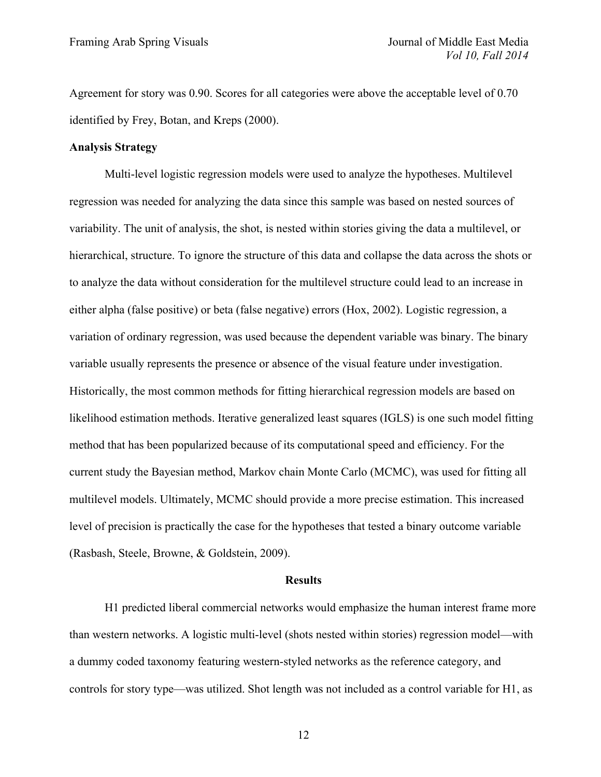Agreement for story was 0.90. Scores for all categories were above the acceptable level of 0.70 identified by Frey, Botan, and Kreps (2000).

#### **Analysis Strategy**

Multi-level logistic regression models were used to analyze the hypotheses. Multilevel regression was needed for analyzing the data since this sample was based on nested sources of variability. The unit of analysis, the shot, is nested within stories giving the data a multilevel, or hierarchical, structure. To ignore the structure of this data and collapse the data across the shots or to analyze the data without consideration for the multilevel structure could lead to an increase in either alpha (false positive) or beta (false negative) errors (Hox, 2002). Logistic regression, a variation of ordinary regression, was used because the dependent variable was binary. The binary variable usually represents the presence or absence of the visual feature under investigation. Historically, the most common methods for fitting hierarchical regression models are based on likelihood estimation methods. Iterative generalized least squares (IGLS) is one such model fitting method that has been popularized because of its computational speed and efficiency. For the current study the Bayesian method, Markov chain Monte Carlo (MCMC), was used for fitting all multilevel models. Ultimately, MCMC should provide a more precise estimation. This increased level of precision is practically the case for the hypotheses that tested a binary outcome variable (Rasbash, Steele, Browne, & Goldstein, 2009).

#### **Results**

H1 predicted liberal commercial networks would emphasize the human interest frame more than western networks. A logistic multi-level (shots nested within stories) regression model—with a dummy coded taxonomy featuring western-styled networks as the reference category, and controls for story type—was utilized. Shot length was not included as a control variable for H1, as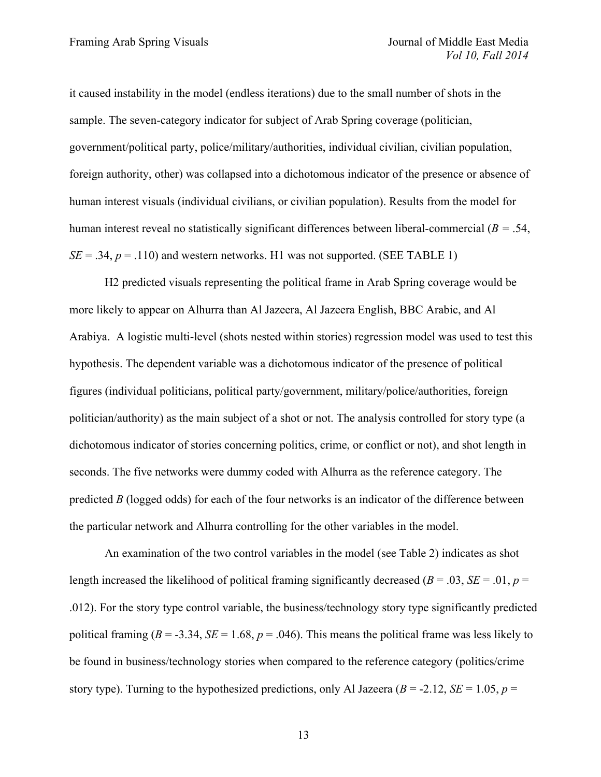it caused instability in the model (endless iterations) due to the small number of shots in the sample. The seven-category indicator for subject of Arab Spring coverage (politician, government/political party, police/military/authorities, individual civilian, civilian population, foreign authority, other) was collapsed into a dichotomous indicator of the presence or absence of human interest visuals (individual civilians, or civilian population). Results from the model for human interest reveal no statistically significant differences between liberal-commercial (*B =* .54,  $SE = .34$ ,  $p = .110$ ) and western networks. H1 was not supported. (SEE TABLE 1)

H2 predicted visuals representing the political frame in Arab Spring coverage would be more likely to appear on Alhurra than Al Jazeera, Al Jazeera English, BBC Arabic, and Al Arabiya. A logistic multi-level (shots nested within stories) regression model was used to test this hypothesis. The dependent variable was a dichotomous indicator of the presence of political figures (individual politicians, political party/government, military/police/authorities, foreign politician/authority) as the main subject of a shot or not. The analysis controlled for story type (a dichotomous indicator of stories concerning politics, crime, or conflict or not), and shot length in seconds. The five networks were dummy coded with Alhurra as the reference category. The predicted *B* (logged odds) for each of the four networks is an indicator of the difference between the particular network and Alhurra controlling for the other variables in the model.

An examination of the two control variables in the model (see Table 2) indicates as shot length increased the likelihood of political framing significantly decreased ( $B = .03$ ,  $SE = .01$ ,  $p =$ .012). For the story type control variable, the business/technology story type significantly predicted political framing ( $B = -3.34$ ,  $SE = 1.68$ ,  $p = .046$ ). This means the political frame was less likely to be found in business/technology stories when compared to the reference category (politics/crime story type). Turning to the hypothesized predictions, only Al Jazeera ( $B = -2.12$ ,  $SE = 1.05$ ,  $p =$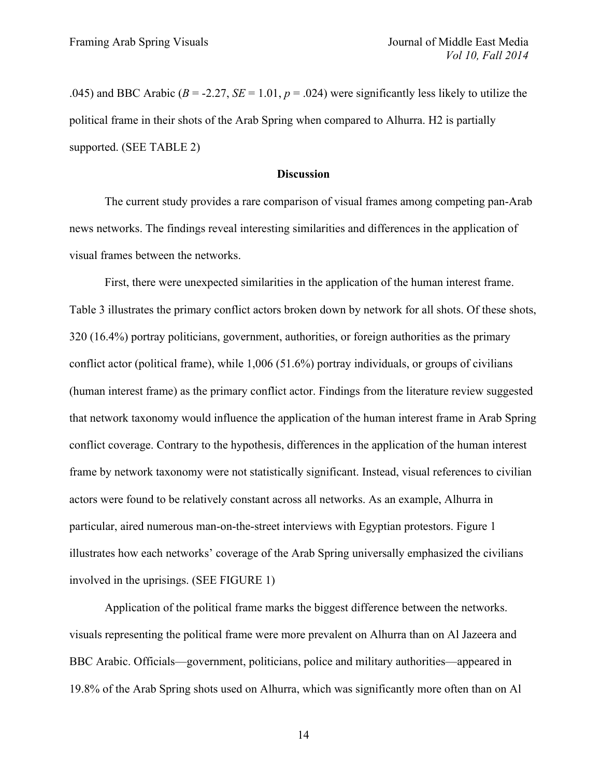.045) and BBC Arabic ( $B = -2.27$ ,  $SE = 1.01$ ,  $p = .024$ ) were significantly less likely to utilize the political frame in their shots of the Arab Spring when compared to Alhurra. H2 is partially supported. (SEE TABLE 2)

#### **Discussion**

The current study provides a rare comparison of visual frames among competing pan-Arab news networks. The findings reveal interesting similarities and differences in the application of visual frames between the networks.

First, there were unexpected similarities in the application of the human interest frame. Table 3 illustrates the primary conflict actors broken down by network for all shots. Of these shots, 320 (16.4%) portray politicians, government, authorities, or foreign authorities as the primary conflict actor (political frame), while 1,006 (51.6%) portray individuals, or groups of civilians (human interest frame) as the primary conflict actor. Findings from the literature review suggested that network taxonomy would influence the application of the human interest frame in Arab Spring conflict coverage. Contrary to the hypothesis, differences in the application of the human interest frame by network taxonomy were not statistically significant. Instead, visual references to civilian actors were found to be relatively constant across all networks. As an example, Alhurra in particular, aired numerous man-on-the-street interviews with Egyptian protestors. Figure 1 illustrates how each networks' coverage of the Arab Spring universally emphasized the civilians involved in the uprisings. (SEE FIGURE 1)

Application of the political frame marks the biggest difference between the networks. visuals representing the political frame were more prevalent on Alhurra than on Al Jazeera and BBC Arabic. Officials—government, politicians, police and military authorities—appeared in 19.8% of the Arab Spring shots used on Alhurra, which was significantly more often than on Al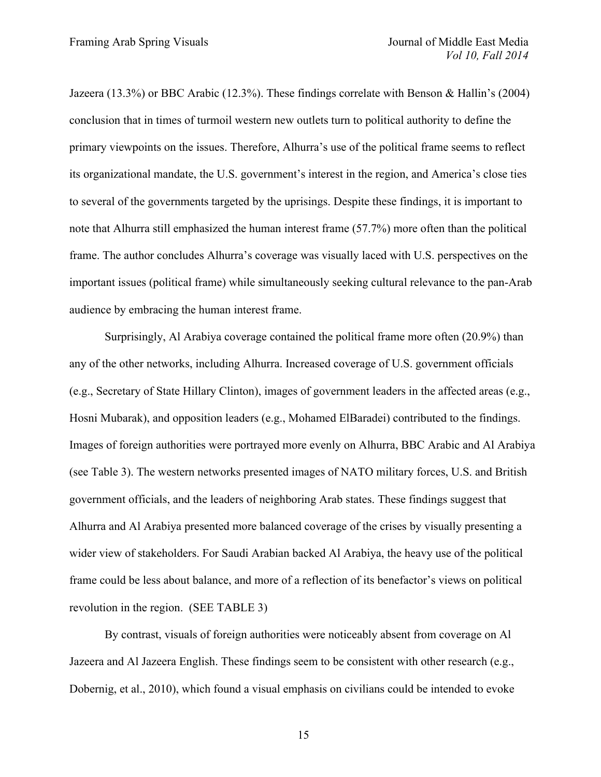Jazeera (13.3%) or BBC Arabic (12.3%). These findings correlate with Benson & Hallin's (2004) conclusion that in times of turmoil western new outlets turn to political authority to define the primary viewpoints on the issues. Therefore, Alhurra's use of the political frame seems to reflect its organizational mandate, the U.S. government's interest in the region, and America's close ties to several of the governments targeted by the uprisings. Despite these findings, it is important to note that Alhurra still emphasized the human interest frame (57.7%) more often than the political frame. The author concludes Alhurra's coverage was visually laced with U.S. perspectives on the important issues (political frame) while simultaneously seeking cultural relevance to the pan-Arab audience by embracing the human interest frame.

Surprisingly, Al Arabiya coverage contained the political frame more often (20.9%) than any of the other networks, including Alhurra. Increased coverage of U.S. government officials (e.g., Secretary of State Hillary Clinton), images of government leaders in the affected areas (e.g., Hosni Mubarak), and opposition leaders (e.g., Mohamed ElBaradei) contributed to the findings. Images of foreign authorities were portrayed more evenly on Alhurra, BBC Arabic and Al Arabiya (see Table 3). The western networks presented images of NATO military forces, U.S. and British government officials, and the leaders of neighboring Arab states. These findings suggest that Alhurra and Al Arabiya presented more balanced coverage of the crises by visually presenting a wider view of stakeholders. For Saudi Arabian backed Al Arabiya, the heavy use of the political frame could be less about balance, and more of a reflection of its benefactor's views on political revolution in the region. (SEE TABLE 3)

By contrast, visuals of foreign authorities were noticeably absent from coverage on Al Jazeera and Al Jazeera English. These findings seem to be consistent with other research (e.g., Dobernig, et al., 2010), which found a visual emphasis on civilians could be intended to evoke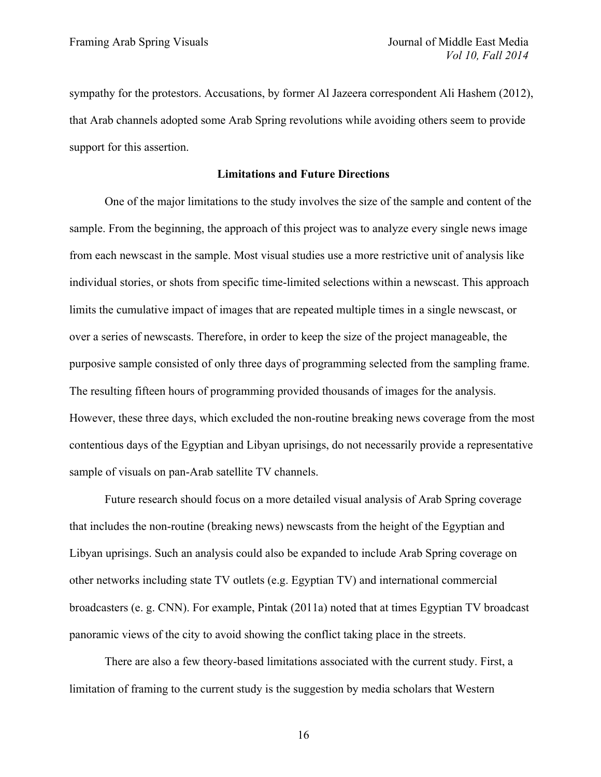sympathy for the protestors. Accusations, by former Al Jazeera correspondent Ali Hashem (2012), that Arab channels adopted some Arab Spring revolutions while avoiding others seem to provide support for this assertion.

## **Limitations and Future Directions**

One of the major limitations to the study involves the size of the sample and content of the sample. From the beginning, the approach of this project was to analyze every single news image from each newscast in the sample. Most visual studies use a more restrictive unit of analysis like individual stories, or shots from specific time-limited selections within a newscast. This approach limits the cumulative impact of images that are repeated multiple times in a single newscast, or over a series of newscasts. Therefore, in order to keep the size of the project manageable, the purposive sample consisted of only three days of programming selected from the sampling frame. The resulting fifteen hours of programming provided thousands of images for the analysis. However, these three days, which excluded the non-routine breaking news coverage from the most contentious days of the Egyptian and Libyan uprisings, do not necessarily provide a representative sample of visuals on pan-Arab satellite TV channels.

Future research should focus on a more detailed visual analysis of Arab Spring coverage that includes the non-routine (breaking news) newscasts from the height of the Egyptian and Libyan uprisings. Such an analysis could also be expanded to include Arab Spring coverage on other networks including state TV outlets (e.g. Egyptian TV) and international commercial broadcasters (e. g. CNN). For example, Pintak (2011a) noted that at times Egyptian TV broadcast panoramic views of the city to avoid showing the conflict taking place in the streets.

There are also a few theory-based limitations associated with the current study. First, a limitation of framing to the current study is the suggestion by media scholars that Western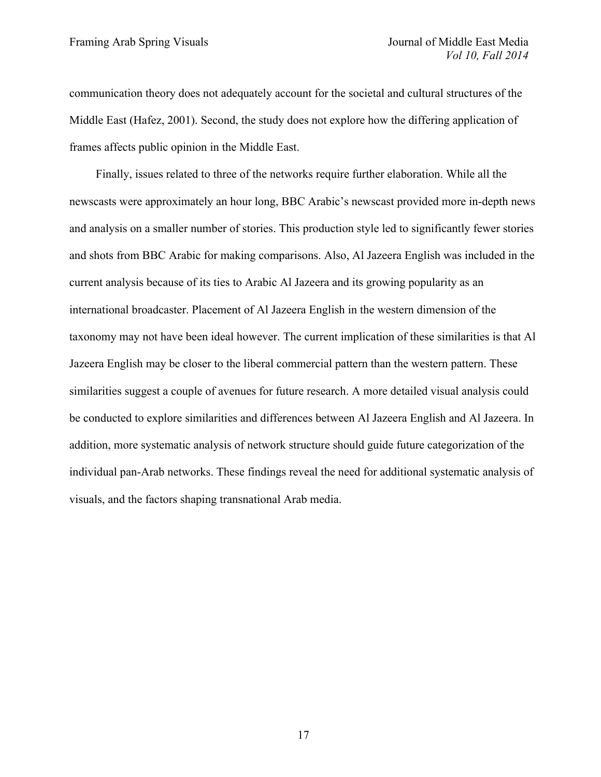communication theory does not adequately account for the societal and cultural structures of the Middle East (Hafez, 2001). Second, the study does not explore how the differing application of frames affects public opinion in the Middle East.

Finally, issues related to three of the networks require further elaboration. While all the newscasts were approximately an hour long, BBC Arabic's newscast provided more in-depth news and analysis on a smaller number of stories. This production style led to significantly fewer stories and shots from BBC Arabic for making comparisons. Also, Al Jazeera English was included in the current analysis because of its ties to Arabic Al Jazeera and its growing popularity as an international broadcaster. Placement of Al Jazeera English in the western dimension of the taxonomy may not have been ideal however. The current implication of these similarities is that Al Jazeera English may be closer to the liberal commercial pattern than the western pattern. These similarities suggest a couple of avenues for future research. A more detailed visual analysis could be conducted to explore similarities and differences between Al Jazeera English and Al Jazeera. In addition, more systematic analysis of network structure should guide future categorization of the individual pan-Arab networks. These findings reveal the need for additional systematic analysis of visuals, and the factors shaping transnational Arab media.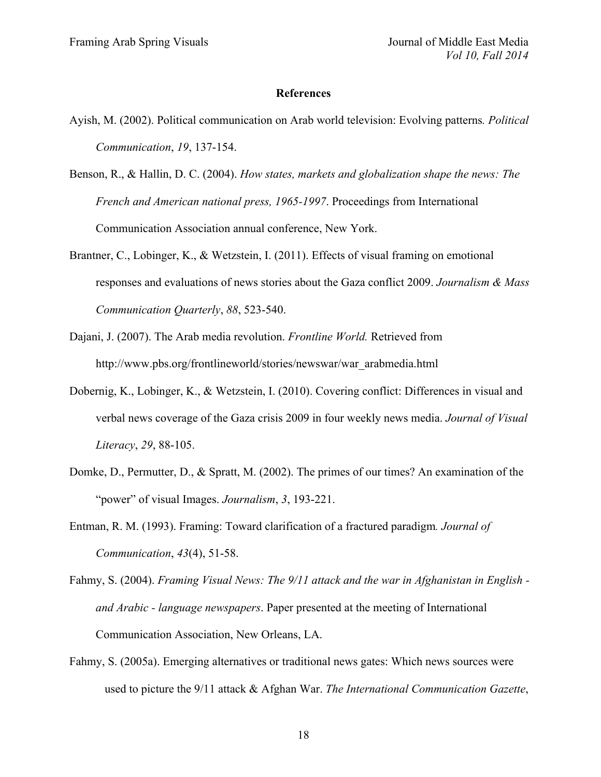#### **References**

- Ayish, M. (2002). Political communication on Arab world television: Evolving patterns*. Political Communication*, *19*, 137-154.
- Benson, R., & Hallin, D. C. (2004). *How states, markets and globalization shape the news: The French and American national press, 1965-1997*. Proceedings from International Communication Association annual conference, New York.
- Brantner, C., Lobinger, K., & Wetzstein, I. (2011). Effects of visual framing on emotional responses and evaluations of news stories about the Gaza conflict 2009. *Journalism & Mass Communication Quarterly*, *88*, 523-540.
- Dajani, J. (2007). The Arab media revolution. *Frontline World.* Retrieved from http://www.pbs.org/frontlineworld/stories/newswar/war\_arabmedia.html
- Dobernig, K., Lobinger, K., & Wetzstein, I. (2010). Covering conflict: Differences in visual and verbal news coverage of the Gaza crisis 2009 in four weekly news media. *Journal of Visual Literacy*, *29*, 88-105.
- Domke, D., Permutter, D., & Spratt, M. (2002). The primes of our times? An examination of the "power" of visual Images. *Journalism*, *3*, 193-221.
- Entman, R. M. (1993). Framing: Toward clarification of a fractured paradigm*. Journal of Communication*, *43*(4), 51-58.
- Fahmy, S. (2004). *Framing Visual News: The 9/11 attack and the war in Afghanistan in English and Arabic - language newspapers*. Paper presented at the meeting of International Communication Association, New Orleans, LA.
- Fahmy, S. (2005a). Emerging alternatives or traditional news gates: Which news sources were used to picture the 9/11 attack & Afghan War. *The International Communication Gazette*,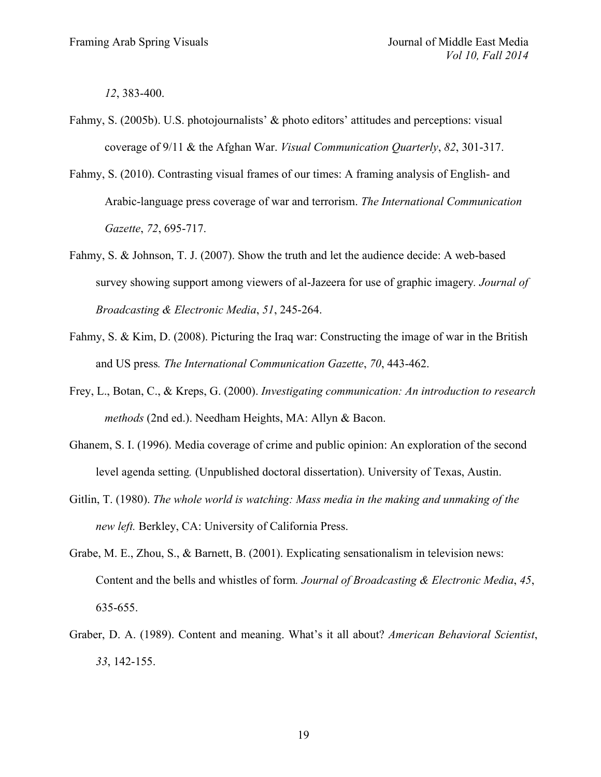*12*, 383-400.

- Fahmy, S. (2005b). U.S. photojournalists' & photo editors' attitudes and perceptions: visual coverage of 9/11 & the Afghan War. *Visual Communication Quarterly*, *82*, 301-317.
- Fahmy, S. (2010). Contrasting visual frames of our times: A framing analysis of English- and Arabic-language press coverage of war and terrorism. *The International Communication Gazette*, *72*, 695-717.
- Fahmy, S. & Johnson, T. J. (2007). Show the truth and let the audience decide: A web-based survey showing support among viewers of al-Jazeera for use of graphic imagery*. Journal of Broadcasting & Electronic Media*, *51*, 245-264.
- Fahmy, S. & Kim, D. (2008). Picturing the Iraq war: Constructing the image of war in the British and US press*. The International Communication Gazette*, *70*, 443-462.
- Frey, L., Botan, C., & Kreps, G. (2000). *Investigating communication: An introduction to research methods* (2nd ed.). Needham Heights, MA: Allyn & Bacon.
- Ghanem, S. I. (1996). Media coverage of crime and public opinion: An exploration of the second level agenda setting*.* (Unpublished doctoral dissertation). University of Texas, Austin.
- Gitlin, T. (1980). *The whole world is watching: Mass media in the making and unmaking of the new left.* Berkley, CA: University of California Press.
- Grabe, M. E., Zhou, S., & Barnett, B. (2001). Explicating sensationalism in television news: Content and the bells and whistles of form*. Journal of Broadcasting & Electronic Media*, *45*, 635-655.
- Graber, D. A. (1989). Content and meaning. What's it all about? *American Behavioral Scientist*, *33*, 142-155.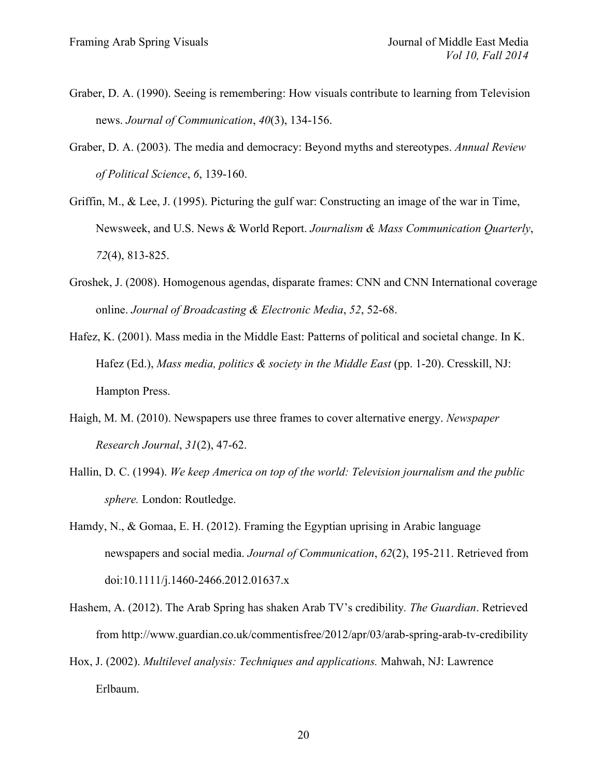- Graber, D. A. (1990). Seeing is remembering: How visuals contribute to learning from Television news. *Journal of Communication*, *40*(3), 134-156.
- Graber, D. A. (2003). The media and democracy: Beyond myths and stereotypes. *Annual Review of Political Science*, *6*, 139-160.
- Griffin, M., & Lee, J. (1995). Picturing the gulf war: Constructing an image of the war in Time, Newsweek, and U.S. News & World Report. *Journalism & Mass Communication Quarterly*, *72*(4), 813-825.
- Groshek, J. (2008). Homogenous agendas, disparate frames: CNN and CNN International coverage online. *Journal of Broadcasting & Electronic Media*, *52*, 52-68.
- Hafez, K. (2001). Mass media in the Middle East: Patterns of political and societal change. In K. Hafez (Ed.), *Mass media, politics & society in the Middle East* (pp. 1-20). Cresskill, NJ: Hampton Press.
- Haigh, M. M. (2010). Newspapers use three frames to cover alternative energy. *Newspaper Research Journal*, *31*(2), 47-62.
- Hallin, D. C. (1994). *We keep America on top of the world: Television journalism and the public sphere.* London: Routledge.
- Hamdy, N., & Gomaa, E. H. (2012). Framing the Egyptian uprising in Arabic language newspapers and social media. *Journal of Communication*, *62*(2), 195-211. Retrieved from doi:10.1111/j.1460-2466.2012.01637.x
- Hashem, A. (2012). The Arab Spring has shaken Arab TV's credibility*. The Guardian*. Retrieved from http://www.guardian.co.uk/commentisfree/2012/apr/03/arab-spring-arab-tv-credibility
- Hox, J. (2002). *Multilevel analysis: Techniques and applications.* Mahwah, NJ: Lawrence Erlbaum.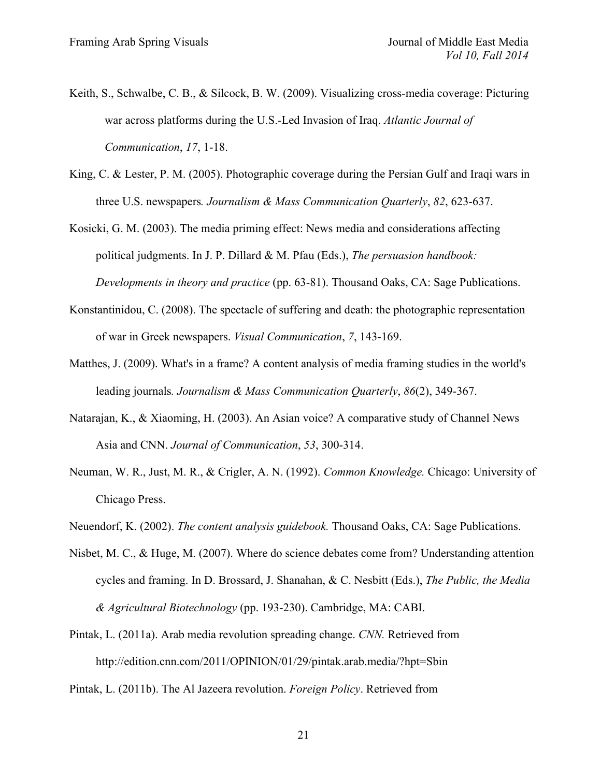- Keith, S., Schwalbe, C. B., & Silcock, B. W. (2009). Visualizing cross-media coverage: Picturing war across platforms during the U.S.-Led Invasion of Iraq. *Atlantic Journal of Communication*, *17*, 1-18.
- King, C. & Lester, P. M. (2005). Photographic coverage during the Persian Gulf and Iraqi wars in three U.S. newspapers*. Journalism & Mass Communication Quarterly*, *82*, 623-637.
- Kosicki, G. M. (2003). The media priming effect: News media and considerations affecting political judgments. In J. P. Dillard & M. Pfau (Eds.), *The persuasion handbook: Developments in theory and practice* (pp. 63-81). Thousand Oaks, CA: Sage Publications.
- Konstantinidou, C. (2008). The spectacle of suffering and death: the photographic representation of war in Greek newspapers. *Visual Communication*, *7*, 143-169.
- Matthes, J. (2009). What's in a frame? A content analysis of media framing studies in the world's leading journals*. Journalism & Mass Communication Quarterly*, *86*(2), 349-367.
- Natarajan, K., & Xiaoming, H. (2003). An Asian voice? A comparative study of Channel News Asia and CNN. *Journal of Communication*, *53*, 300-314.
- Neuman, W. R., Just, M. R., & Crigler, A. N. (1992). *Common Knowledge.* Chicago: University of Chicago Press.
- Neuendorf, K. (2002). *The content analysis guidebook.* Thousand Oaks, CA: Sage Publications.
- Nisbet, M. C., & Huge, M. (2007). Where do science debates come from? Understanding attention cycles and framing. In D. Brossard, J. Shanahan, & C. Nesbitt (Eds.), *The Public, the Media & Agricultural Biotechnology* (pp. 193-230). Cambridge, MA: CABI.
- Pintak, L. (2011a). Arab media revolution spreading change. *CNN.* Retrieved from http://edition.cnn.com/2011/OPINION/01/29/pintak.arab.media/?hpt=Sbin
- Pintak, L. (2011b). The Al Jazeera revolution. *Foreign Policy*. Retrieved from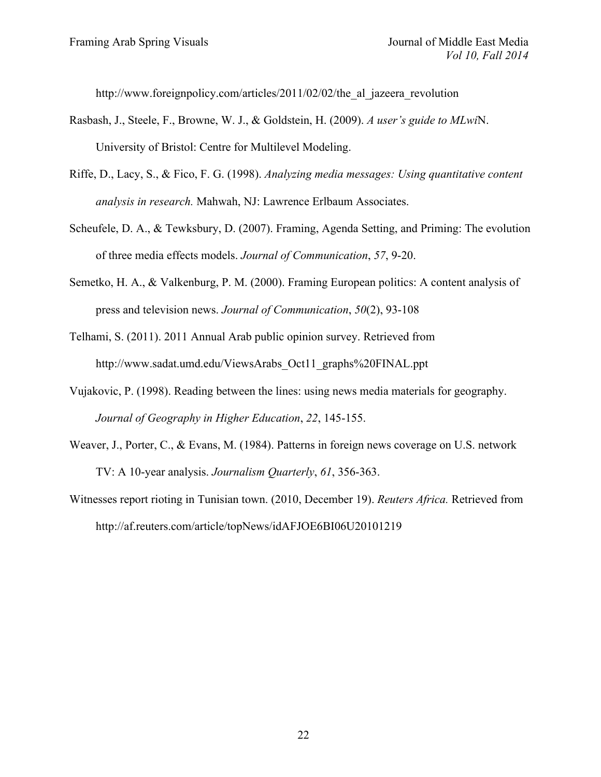http://www.foreignpolicy.com/articles/2011/02/02/the al\_jazeera\_revolution

- Rasbash, J., Steele, F., Browne, W. J., & Goldstein, H. (2009). *A user's guide to MLwi*N. University of Bristol: Centre for Multilevel Modeling.
- Riffe, D., Lacy, S., & Fico, F. G. (1998). *Analyzing media messages: Using quantitative content analysis in research.* Mahwah, NJ: Lawrence Erlbaum Associates.
- Scheufele, D. A., & Tewksbury, D. (2007). Framing, Agenda Setting, and Priming: The evolution of three media effects models. *Journal of Communication*, *57*, 9-20.
- Semetko, H. A., & Valkenburg, P. M. (2000). Framing European politics: A content analysis of press and television news. *Journal of Communication*, *50*(2), 93-108
- Telhami, S. (2011). 2011 Annual Arab public opinion survey. Retrieved from http://www.sadat.umd.edu/ViewsArabs\_Oct11\_graphs%20FINAL.ppt
- Vujakovic, P. (1998). Reading between the lines: using news media materials for geography. *Journal of Geography in Higher Education*, *22*, 145-155.
- Weaver, J., Porter, C., & Evans, M. (1984). Patterns in foreign news coverage on U.S. network TV: A 10-year analysis. *Journalism Quarterly*, *61*, 356-363.
- Witnesses report rioting in Tunisian town. (2010, December 19). *Reuters Africa.* Retrieved from http://af.reuters.com/article/topNews/idAFJOE6BI06U20101219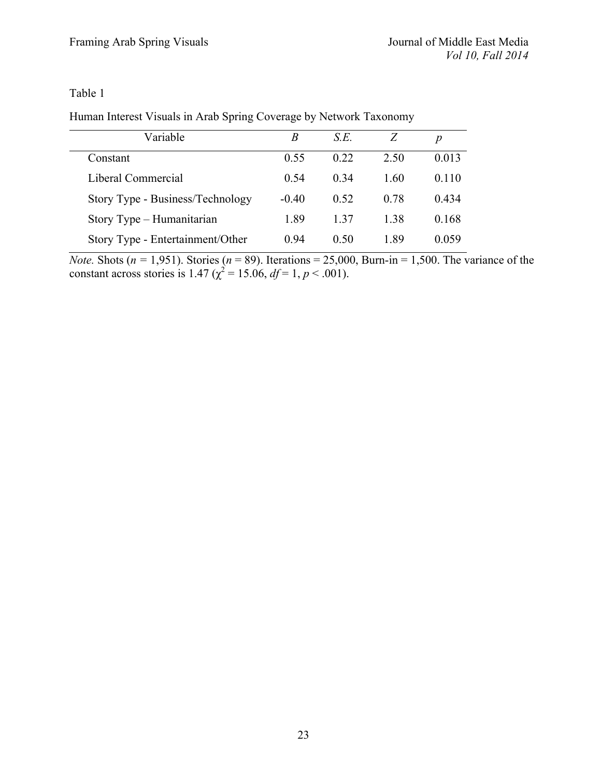Table 1

Human Interest Visuals in Arab Spring Coverage by Network Taxonomy

| Variable                         | B       | S.E.    | Z    | p     |
|----------------------------------|---------|---------|------|-------|
| Constant                         | 0.55    | 0.22    | 2.50 | 0.013 |
| Liberal Commercial               | 0.54    | $()$ 34 | 1.60 | 0.110 |
| Story Type - Business/Technology | $-0.40$ | 0.52    | 0.78 | 0.434 |
| Story Type - Humanitarian        | 1.89    | 137     | 138  | 0.168 |
| Story Type - Entertainment/Other | 0.94    | 0.50    | 189  | 0.059 |

*Note.* Shots ( $n = 1,951$ ). Stories ( $n = 89$ ). Iterations = 25,000, Burn-in = 1,500. The variance of the constant across stories is 1.47 ( $\chi^2$  = 15.06, *df* = 1, *p* < .001).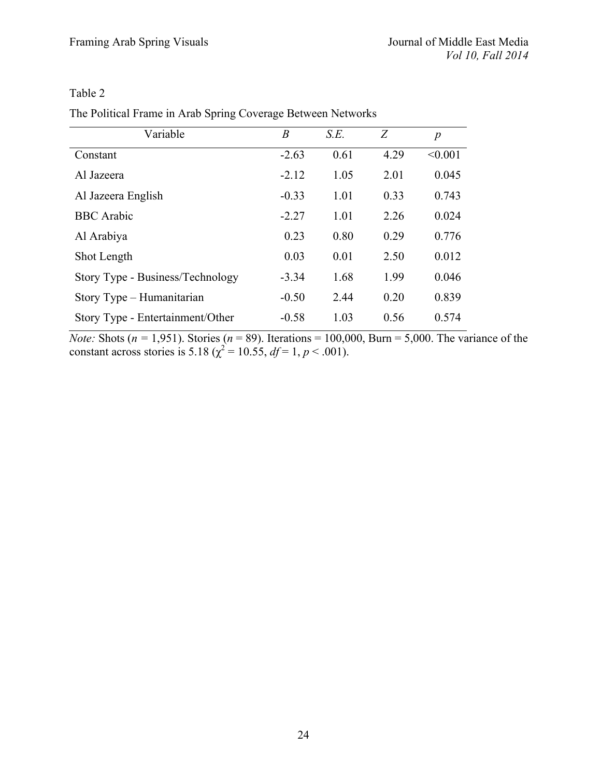# Table 2

|  | The Political Frame in Arab Spring Coverage Between Networks |
|--|--------------------------------------------------------------|
|--|--------------------------------------------------------------|

| Variable                         | B       | S.E. | Z    | $\boldsymbol{p}$ |
|----------------------------------|---------|------|------|------------------|
| Constant                         | $-2.63$ | 0.61 | 4.29 | < 0.001          |
| Al Jazeera                       | $-2.12$ | 1.05 | 2.01 | 0.045            |
| Al Jazeera English               | $-0.33$ | 1.01 | 0.33 | 0.743            |
| <b>BBC</b> Arabic                | $-2.27$ | 1.01 | 2.26 | 0.024            |
| Al Arabiya                       | 0.23    | 0.80 | 0.29 | 0.776            |
| Shot Length                      | 0.03    | 0.01 | 2.50 | 0.012            |
| Story Type - Business/Technology | $-3.34$ | 1.68 | 1.99 | 0.046            |
| Story Type – Humanitarian        | $-0.50$ | 2.44 | 0.20 | 0.839            |
| Story Type - Entertainment/Other | $-0.58$ | 1.03 | 0.56 | 0.574            |

*Note:* Shots ( $n = 1,951$ ). Stories ( $n = 89$ ). Iterations = 100,000, Burn = 5,000. The variance of the constant across stories is 5.18 ( $\chi^2$  = 10.55, *df* = 1, *p* < .001).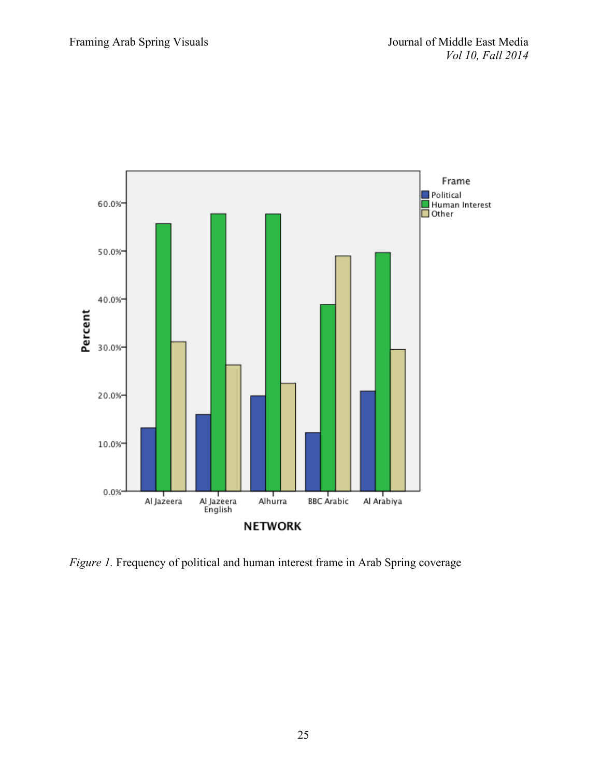

*Figure 1.* Frequency of political and human interest frame in Arab Spring coverage